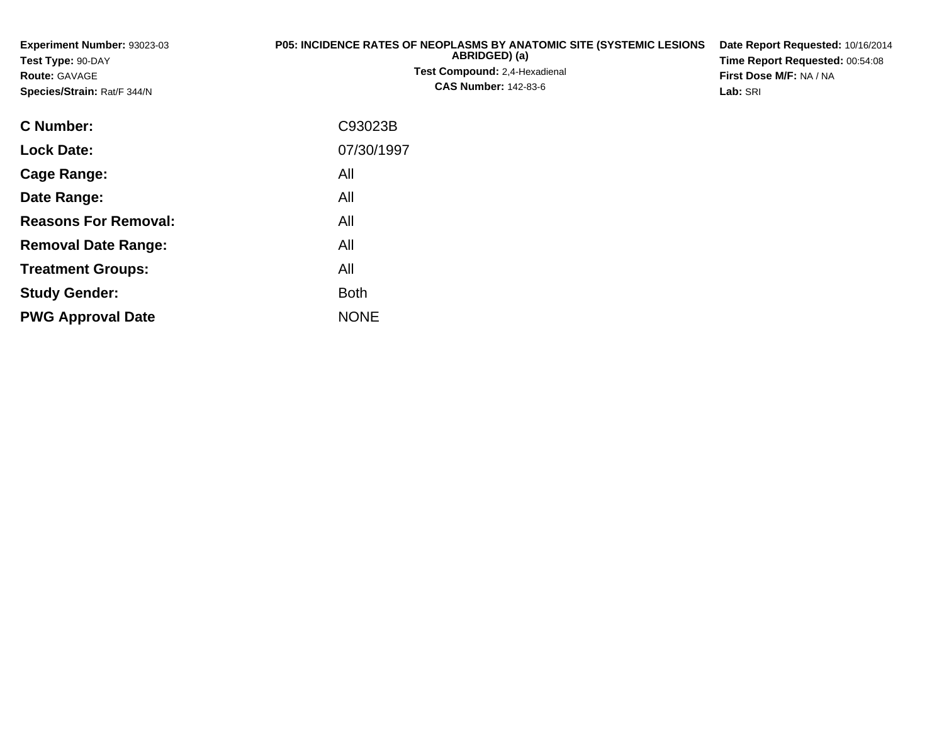**Experiment Number:** 93023-03**Test Type:** 90-DAY**Route:** GAVAGE **Species/Strain:** Rat/F 344/N**P05: INCIDENCE RATES OF NEOPLASMS BY ANATOMIC SITE (SYSTEMIC LESIONSABRIDGED) (a)Test Compound:** 2,4-Hexadienal **CAS Number:** 142-83-6**Date Report Requested:** 10/16/2014**Time Report Requested:** 00:54:08**First Dose M/F:** NA / NA**Lab:** SRI**C Number:** C93023B**Lock Date:**07/30/1997

**Cage Range:**

**Date Range:**

**Reasons For Removal:**

**Removal Date Range:**

**Treatment Groups:**

**PWG Approval Date**

**Study Gender:**

All

All

All

: All

NONE

All

**Example 1** South 2 and 2 and 2 and 2 and 2 and 2 and 2 and 2 and 2 and 2 and 2 and 2 and 2 and 2 and 2 and 2 an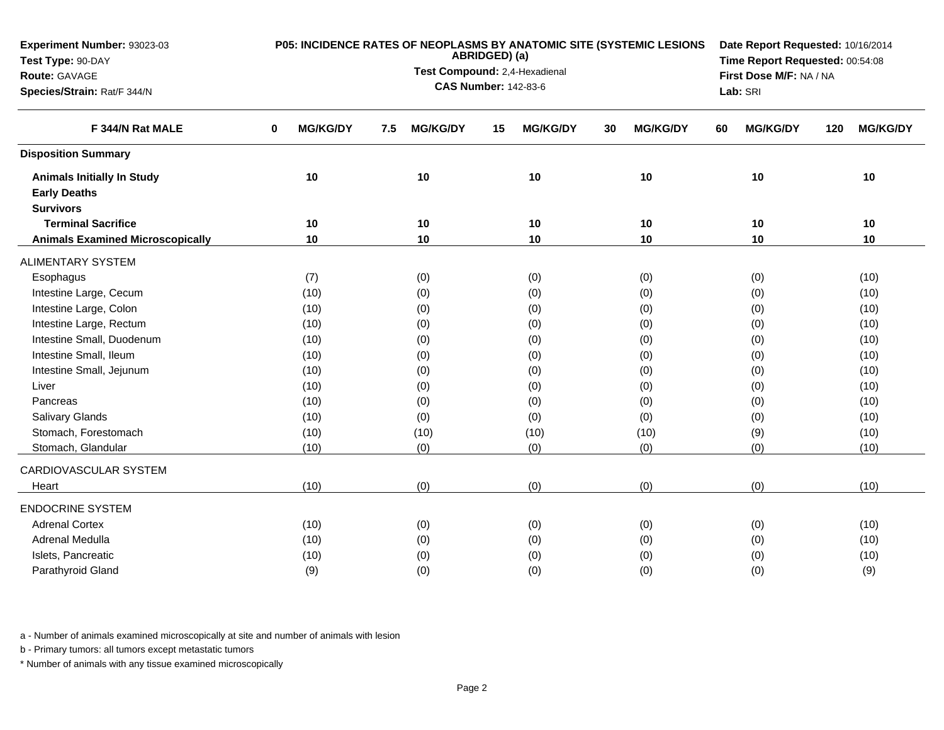| ABRIDGED) (a)<br>Test Type: 90-DAY<br>Time Report Requested: 00:54:08<br>Test Compound: 2,4-Hexadienal<br>First Dose M/F: NA / NA<br>Route: GAVAGE<br><b>CAS Number: 142-83-6</b><br>Species/Strain: Rat/F 344/N<br>Lab: SRI<br>F 344/N Rat MALE<br><b>MG/KG/DY</b><br><b>MG/KG/DY</b><br><b>MG/KG/DY</b><br><b>MG/KG/DY</b><br><b>MG/KG/DY</b><br><b>MG/KG/DY</b><br>0<br>7.5<br>15<br>30<br>60<br>120<br><b>Disposition Summary</b><br>10<br>10<br>10<br>10<br>10<br>$10$<br><b>Animals Initially In Study</b><br><b>Early Deaths</b><br><b>Survivors</b><br><b>Terminal Sacrifice</b><br>10<br>10<br>10<br>10<br>10<br>10<br>10<br><b>Animals Examined Microscopically</b><br>10<br>10<br>10<br>10<br>10<br><b>ALIMENTARY SYSTEM</b><br>(7)<br>(0)<br>(0)<br>(0)<br>(0)<br>(10)<br>Esophagus<br>Intestine Large, Cecum<br>(10)<br>(0)<br>(0)<br>(0)<br>(0)<br>(10)<br>Intestine Large, Colon<br>(10)<br>(0)<br>(0)<br>(0)<br>(10)<br>(0)<br>Intestine Large, Rectum<br>(0)<br>(10)<br>(10)<br>(0)<br>(0)<br>(0) | Experiment Number: 93023-03 |      |     | P05: INCIDENCE RATES OF NEOPLASMS BY ANATOMIC SITE (SYSTEMIC LESIONS | Date Report Requested: 10/16/2014 |     |      |  |  |  |
|--------------------------------------------------------------------------------------------------------------------------------------------------------------------------------------------------------------------------------------------------------------------------------------------------------------------------------------------------------------------------------------------------------------------------------------------------------------------------------------------------------------------------------------------------------------------------------------------------------------------------------------------------------------------------------------------------------------------------------------------------------------------------------------------------------------------------------------------------------------------------------------------------------------------------------------------------------------------------------------------------------------------|-----------------------------|------|-----|----------------------------------------------------------------------|-----------------------------------|-----|------|--|--|--|
|                                                                                                                                                                                                                                                                                                                                                                                                                                                                                                                                                                                                                                                                                                                                                                                                                                                                                                                                                                                                                    |                             |      |     |                                                                      |                                   |     |      |  |  |  |
|                                                                                                                                                                                                                                                                                                                                                                                                                                                                                                                                                                                                                                                                                                                                                                                                                                                                                                                                                                                                                    |                             |      |     |                                                                      |                                   |     |      |  |  |  |
|                                                                                                                                                                                                                                                                                                                                                                                                                                                                                                                                                                                                                                                                                                                                                                                                                                                                                                                                                                                                                    |                             |      |     |                                                                      |                                   |     |      |  |  |  |
|                                                                                                                                                                                                                                                                                                                                                                                                                                                                                                                                                                                                                                                                                                                                                                                                                                                                                                                                                                                                                    |                             |      |     |                                                                      |                                   |     |      |  |  |  |
|                                                                                                                                                                                                                                                                                                                                                                                                                                                                                                                                                                                                                                                                                                                                                                                                                                                                                                                                                                                                                    |                             |      |     |                                                                      |                                   |     |      |  |  |  |
|                                                                                                                                                                                                                                                                                                                                                                                                                                                                                                                                                                                                                                                                                                                                                                                                                                                                                                                                                                                                                    |                             |      |     |                                                                      |                                   |     |      |  |  |  |
|                                                                                                                                                                                                                                                                                                                                                                                                                                                                                                                                                                                                                                                                                                                                                                                                                                                                                                                                                                                                                    |                             |      |     |                                                                      |                                   |     |      |  |  |  |
|                                                                                                                                                                                                                                                                                                                                                                                                                                                                                                                                                                                                                                                                                                                                                                                                                                                                                                                                                                                                                    |                             |      |     |                                                                      |                                   |     |      |  |  |  |
|                                                                                                                                                                                                                                                                                                                                                                                                                                                                                                                                                                                                                                                                                                                                                                                                                                                                                                                                                                                                                    |                             |      |     |                                                                      |                                   |     |      |  |  |  |
|                                                                                                                                                                                                                                                                                                                                                                                                                                                                                                                                                                                                                                                                                                                                                                                                                                                                                                                                                                                                                    |                             |      |     |                                                                      |                                   |     |      |  |  |  |
|                                                                                                                                                                                                                                                                                                                                                                                                                                                                                                                                                                                                                                                                                                                                                                                                                                                                                                                                                                                                                    |                             |      |     |                                                                      |                                   |     |      |  |  |  |
|                                                                                                                                                                                                                                                                                                                                                                                                                                                                                                                                                                                                                                                                                                                                                                                                                                                                                                                                                                                                                    |                             |      |     |                                                                      |                                   |     |      |  |  |  |
|                                                                                                                                                                                                                                                                                                                                                                                                                                                                                                                                                                                                                                                                                                                                                                                                                                                                                                                                                                                                                    |                             |      |     |                                                                      |                                   |     |      |  |  |  |
|                                                                                                                                                                                                                                                                                                                                                                                                                                                                                                                                                                                                                                                                                                                                                                                                                                                                                                                                                                                                                    |                             |      |     |                                                                      |                                   |     |      |  |  |  |
|                                                                                                                                                                                                                                                                                                                                                                                                                                                                                                                                                                                                                                                                                                                                                                                                                                                                                                                                                                                                                    |                             |      |     |                                                                      |                                   |     |      |  |  |  |
|                                                                                                                                                                                                                                                                                                                                                                                                                                                                                                                                                                                                                                                                                                                                                                                                                                                                                                                                                                                                                    | Intestine Small, Duodenum   | (10) | (0) | (0)                                                                  | (0)                               | (0) | (10) |  |  |  |
| Intestine Small, Ileum<br>(0)<br>(0)<br>(0)<br>(10)<br>(0)<br>(10)                                                                                                                                                                                                                                                                                                                                                                                                                                                                                                                                                                                                                                                                                                                                                                                                                                                                                                                                                 |                             |      |     |                                                                      |                                   |     |      |  |  |  |
| Intestine Small, Jejunum<br>(0)<br>(0)<br>(0)<br>(10)<br>(10)<br>(0)                                                                                                                                                                                                                                                                                                                                                                                                                                                                                                                                                                                                                                                                                                                                                                                                                                                                                                                                               |                             |      |     |                                                                      |                                   |     |      |  |  |  |
| (0)<br>(0)<br>Liver<br>(10)<br>(0)<br>(10)<br>(0)                                                                                                                                                                                                                                                                                                                                                                                                                                                                                                                                                                                                                                                                                                                                                                                                                                                                                                                                                                  |                             |      |     |                                                                      |                                   |     |      |  |  |  |
| (0)<br>(0)<br>(0)<br>(0)<br>(10)<br>Pancreas<br>(10)                                                                                                                                                                                                                                                                                                                                                                                                                                                                                                                                                                                                                                                                                                                                                                                                                                                                                                                                                               |                             |      |     |                                                                      |                                   |     |      |  |  |  |
| (0)<br>Salivary Glands<br>(0)<br>(0)<br>(0)<br>(10)<br>(10)                                                                                                                                                                                                                                                                                                                                                                                                                                                                                                                                                                                                                                                                                                                                                                                                                                                                                                                                                        |                             |      |     |                                                                      |                                   |     |      |  |  |  |
| Stomach, Forestomach<br>(10)<br>(10)<br>(10)<br>(9)<br>(10)<br>(10)                                                                                                                                                                                                                                                                                                                                                                                                                                                                                                                                                                                                                                                                                                                                                                                                                                                                                                                                                |                             |      |     |                                                                      |                                   |     |      |  |  |  |
| Stomach, Glandular<br>(0)<br>(0)<br>(0)<br>(0)<br>(10)<br>(10)                                                                                                                                                                                                                                                                                                                                                                                                                                                                                                                                                                                                                                                                                                                                                                                                                                                                                                                                                     |                             |      |     |                                                                      |                                   |     |      |  |  |  |
| CARDIOVASCULAR SYSTEM                                                                                                                                                                                                                                                                                                                                                                                                                                                                                                                                                                                                                                                                                                                                                                                                                                                                                                                                                                                              |                             |      |     |                                                                      |                                   |     |      |  |  |  |
| (0)<br>(0)<br>(0)<br>(0)<br>(10)<br>(10)<br>Heart                                                                                                                                                                                                                                                                                                                                                                                                                                                                                                                                                                                                                                                                                                                                                                                                                                                                                                                                                                  |                             |      |     |                                                                      |                                   |     |      |  |  |  |
| <b>ENDOCRINE SYSTEM</b>                                                                                                                                                                                                                                                                                                                                                                                                                                                                                                                                                                                                                                                                                                                                                                                                                                                                                                                                                                                            |                             |      |     |                                                                      |                                   |     |      |  |  |  |
| <b>Adrenal Cortex</b><br>(10)<br>(0)<br>(10)<br>(0)<br>(0)<br>(0)                                                                                                                                                                                                                                                                                                                                                                                                                                                                                                                                                                                                                                                                                                                                                                                                                                                                                                                                                  |                             |      |     |                                                                      |                                   |     |      |  |  |  |
| Adrenal Medulla<br>(10)<br>(0)<br>(0)<br>(10)<br>(0)<br>(0)                                                                                                                                                                                                                                                                                                                                                                                                                                                                                                                                                                                                                                                                                                                                                                                                                                                                                                                                                        |                             |      |     |                                                                      |                                   |     |      |  |  |  |
| Islets, Pancreatic<br>(0)<br>(10)<br>(10)<br>(0)<br>(0)<br>(0)                                                                                                                                                                                                                                                                                                                                                                                                                                                                                                                                                                                                                                                                                                                                                                                                                                                                                                                                                     |                             |      |     |                                                                      |                                   |     |      |  |  |  |
| Parathyroid Gland<br>(9)<br>(0)<br>(9)<br>(0)<br>(0)<br>(0)                                                                                                                                                                                                                                                                                                                                                                                                                                                                                                                                                                                                                                                                                                                                                                                                                                                                                                                                                        |                             |      |     |                                                                      |                                   |     |      |  |  |  |

b - Primary tumors: all tumors except metastatic tumors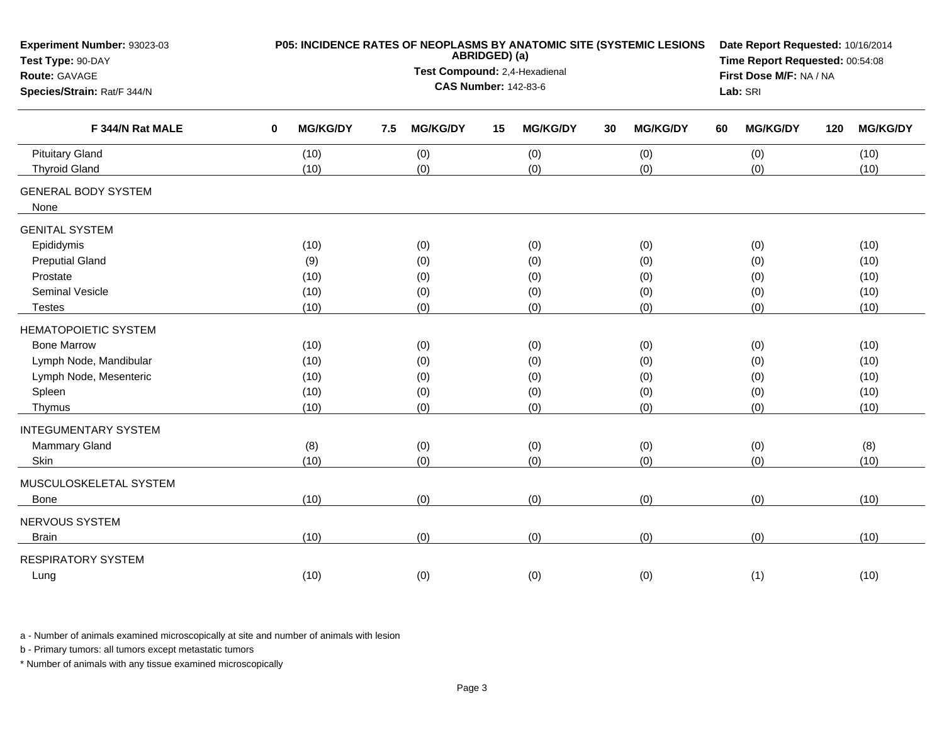| Experiment Number: 93023-03<br>Test Type: 90-DAY<br>Route: GAVAGE                                                         |             | P05: INCIDENCE RATES OF NEOPLASMS BY ANATOMIC SITE (SYSTEMIC LESIONS |          | Date Report Requested: 10/16/2014<br>Time Report Requested: 00:54:08<br>First Dose M/F: NA / NA |    |                                 |    |                                 |    |                                 |     |                                      |
|---------------------------------------------------------------------------------------------------------------------------|-------------|----------------------------------------------------------------------|----------|-------------------------------------------------------------------------------------------------|----|---------------------------------|----|---------------------------------|----|---------------------------------|-----|--------------------------------------|
| Species/Strain: Rat/F 344/N                                                                                               |             |                                                                      | Lab: SRI |                                                                                                 |    |                                 |    |                                 |    |                                 |     |                                      |
| F 344/N Rat MALE                                                                                                          | $\mathbf 0$ | <b>MG/KG/DY</b>                                                      | 7.5      | <b>MG/KG/DY</b>                                                                                 | 15 | <b>MG/KG/DY</b>                 | 30 | <b>MG/KG/DY</b>                 | 60 | <b>MG/KG/DY</b>                 | 120 | <b>MG/KG/DY</b>                      |
| <b>Pituitary Gland</b><br><b>Thyroid Gland</b>                                                                            |             | (10)<br>(10)                                                         |          | (0)<br>(0)                                                                                      |    | (0)<br>(0)                      |    | (0)<br>(0)                      |    | (0)<br>(0)                      |     | (10)<br>(10)                         |
| <b>GENERAL BODY SYSTEM</b><br>None                                                                                        |             |                                                                      |          |                                                                                                 |    |                                 |    |                                 |    |                                 |     |                                      |
| <b>GENITAL SYSTEM</b><br>Epididymis<br><b>Preputial Gland</b><br>Prostate<br><b>Seminal Vesicle</b><br><b>Testes</b>      |             | (10)<br>(9)<br>(10)<br>(10)<br>(10)                                  |          | (0)<br>(0)<br>(0)<br>(0)<br>(0)                                                                 |    | (0)<br>(0)<br>(0)<br>(0)<br>(0) |    | (0)<br>(0)<br>(0)<br>(0)<br>(0) |    | (0)<br>(0)<br>(0)<br>(0)<br>(0) |     | (10)<br>(10)<br>(10)<br>(10)<br>(10) |
| <b>HEMATOPOIETIC SYSTEM</b><br><b>Bone Marrow</b><br>Lymph Node, Mandibular<br>Lymph Node, Mesenteric<br>Spleen<br>Thymus |             | (10)<br>(10)<br>(10)<br>(10)<br>(10)                                 |          | (0)<br>(0)<br>(0)<br>(0)<br>(0)                                                                 |    | (0)<br>(0)<br>(0)<br>(0)<br>(0) |    | (0)<br>(0)<br>(0)<br>(0)<br>(0) |    | (0)<br>(0)<br>(0)<br>(0)<br>(0) |     | (10)<br>(10)<br>(10)<br>(10)<br>(10) |
| <b>INTEGUMENTARY SYSTEM</b><br><b>Mammary Gland</b><br>Skin<br>MUSCULOSKELETAL SYSTEM                                     |             | (8)<br>(10)                                                          |          | (0)<br>(0)                                                                                      |    | (0)<br>(0)                      |    | (0)<br>(0)                      |    | (0)<br>(0)                      |     | (8)<br>(10)                          |
| <b>Bone</b><br>NERVOUS SYSTEM<br><b>Brain</b>                                                                             |             | (10)<br>(10)                                                         |          | (0)<br>(0)                                                                                      |    | (0)<br>(0)                      |    | (0)<br>(0)                      |    | (0)<br>(0)                      |     | (10)<br>(10)                         |
| <b>RESPIRATORY SYSTEM</b><br>Lung                                                                                         |             | (10)                                                                 |          | (0)                                                                                             |    | (0)                             |    | (0)                             |    | (1)                             |     | (10)                                 |

b - Primary tumors: all tumors except metastatic tumors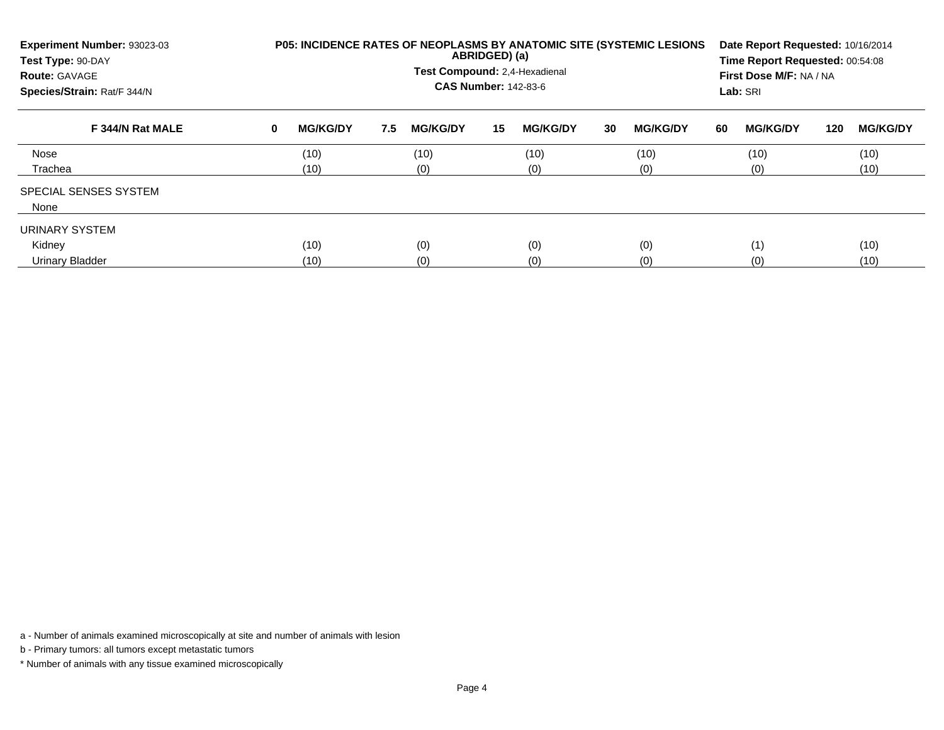| Experiment Number: 93023-03<br>Test Type: 90-DAY<br><b>Route: GAVAGE</b><br>Species/Strain: Rat/F 344/N |          | P05: INCIDENCE RATES OF NEOPLASMS BY ANATOMIC SITE (SYSTEMIC LESIONS |     | Date Report Requested: 10/16/2014<br>Time Report Requested: 00:54:08<br>First Dose M/F: NA / NA<br>Lab: SRI |    |                 |    |                 |    |                 |     |                 |
|---------------------------------------------------------------------------------------------------------|----------|----------------------------------------------------------------------|-----|-------------------------------------------------------------------------------------------------------------|----|-----------------|----|-----------------|----|-----------------|-----|-----------------|
| F 344/N Rat MALE                                                                                        | $\bf{0}$ | <b>MG/KG/DY</b>                                                      | 7.5 | <b>MG/KG/DY</b>                                                                                             | 15 | <b>MG/KG/DY</b> | 30 | <b>MG/KG/DY</b> | 60 | <b>MG/KG/DY</b> | 120 | <b>MG/KG/DY</b> |
| Nose                                                                                                    |          | (10)                                                                 |     | (10)                                                                                                        |    | (10)            |    | (10)            |    | (10)            |     | (10)            |
| Trachea                                                                                                 |          | (10)                                                                 |     | (0)                                                                                                         |    | (0)             |    | (0)             |    | (0)             |     | (10)            |
| <b>SPECIAL SENSES SYSTEM</b><br>None                                                                    |          |                                                                      |     |                                                                                                             |    |                 |    |                 |    |                 |     |                 |
| URINARY SYSTEM                                                                                          |          |                                                                      |     |                                                                                                             |    |                 |    |                 |    |                 |     |                 |
| Kidney                                                                                                  |          | (10)                                                                 |     | (0)                                                                                                         |    | (0)             |    | (0)             |    | (1)             |     | (10)            |
| Urinary Bladder                                                                                         |          | (10)                                                                 |     | (0)                                                                                                         |    | (0)             |    | (0)             |    | (0)             |     | (10)            |

b - Primary tumors: all tumors except metastatic tumors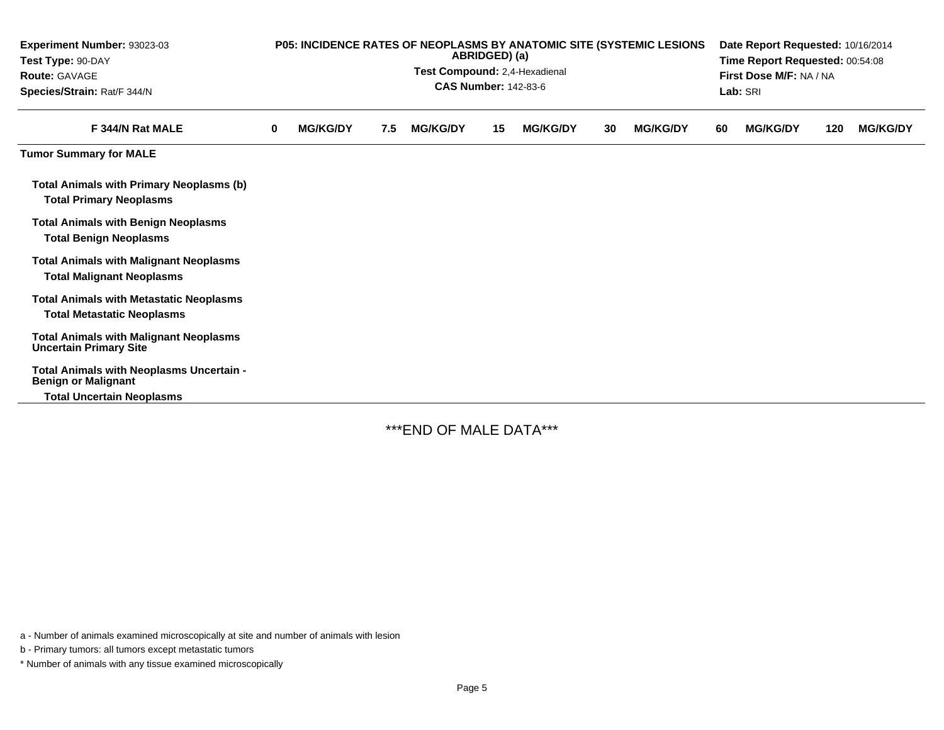| Experiment Number: 93023-03<br>Test Type: 90-DAY<br><b>Route: GAVAGE</b><br>Species/Strain: Rat/F 344/N |   | P05: INCIDENCE RATES OF NEOPLASMS BY ANATOMIC SITE (SYSTEMIC LESIONS |     | Date Report Requested: 10/16/2014<br>Time Report Requested: 00:54:08<br>First Dose M/F: NA / NA<br>Lab: SRI |    |                 |    |                 |    |                 |     |                 |
|---------------------------------------------------------------------------------------------------------|---|----------------------------------------------------------------------|-----|-------------------------------------------------------------------------------------------------------------|----|-----------------|----|-----------------|----|-----------------|-----|-----------------|
| F 344/N Rat MALE                                                                                        | 0 | <b>MG/KG/DY</b>                                                      | 7.5 | <b>MG/KG/DY</b>                                                                                             | 15 | <b>MG/KG/DY</b> | 30 | <b>MG/KG/DY</b> | 60 | <b>MG/KG/DY</b> | 120 | <b>MG/KG/DY</b> |
| <b>Tumor Summary for MALE</b>                                                                           |   |                                                                      |     |                                                                                                             |    |                 |    |                 |    |                 |     |                 |
| <b>Total Animals with Primary Neoplasms (b)</b><br><b>Total Primary Neoplasms</b>                       |   |                                                                      |     |                                                                                                             |    |                 |    |                 |    |                 |     |                 |
| <b>Total Animals with Benign Neoplasms</b><br><b>Total Benign Neoplasms</b>                             |   |                                                                      |     |                                                                                                             |    |                 |    |                 |    |                 |     |                 |
| <b>Total Animals with Malignant Neoplasms</b><br><b>Total Malignant Neoplasms</b>                       |   |                                                                      |     |                                                                                                             |    |                 |    |                 |    |                 |     |                 |
| <b>Total Animals with Metastatic Neoplasms</b><br><b>Total Metastatic Neoplasms</b>                     |   |                                                                      |     |                                                                                                             |    |                 |    |                 |    |                 |     |                 |
| <b>Total Animals with Malignant Neoplasms</b><br><b>Uncertain Primary Site</b>                          |   |                                                                      |     |                                                                                                             |    |                 |    |                 |    |                 |     |                 |
| Total Animals with Neoplasms Uncertain -<br><b>Benign or Malignant</b>                                  |   |                                                                      |     |                                                                                                             |    |                 |    |                 |    |                 |     |                 |
| <b>Total Uncertain Neoplasms</b>                                                                        |   |                                                                      |     |                                                                                                             |    |                 |    |                 |    |                 |     |                 |

\*\*\*END OF MALE DATA\*\*\*

a - Number of animals examined microscopically at site and number of animals with lesion

b - Primary tumors: all tumors except metastatic tumors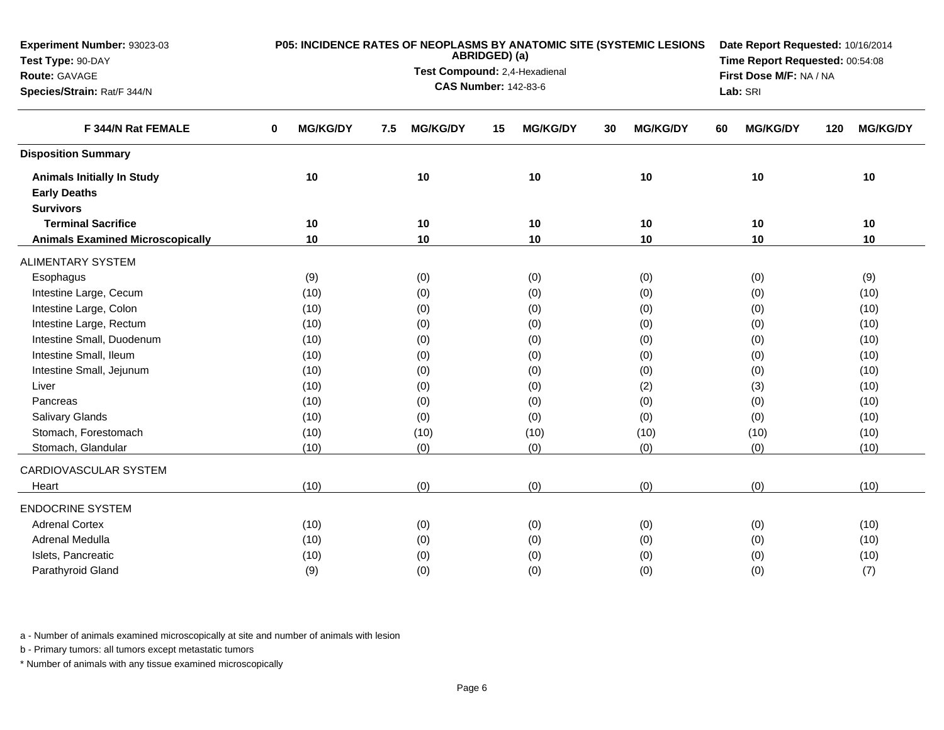| ABRIDGED) (a)<br>Time Report Requested: 00:54:08<br>Test Type: 90-DAY<br>Test Compound: 2,4-Hexadienal<br>First Dose M/F: NA / NA<br>Route: GAVAGE<br><b>CAS Number: 142-83-6</b><br>Species/Strain: Rat/F 344/N<br>Lab: SRI<br>F 344/N Rat FEMALE<br><b>MG/KG/DY</b><br><b>MG/KG/DY</b><br><b>MG/KG/DY</b><br><b>MG/KG/DY</b><br><b>MG/KG/DY</b><br><b>MG/KG/DY</b><br>0<br>7.5<br>15<br>30<br>60<br>120<br><b>Disposition Summary</b><br>10<br>10<br>10<br>10<br>10<br>10<br><b>Animals Initially In Study</b><br><b>Early Deaths</b><br><b>Survivors</b><br><b>Terminal Sacrifice</b><br>10<br>10<br>10<br>10<br>10<br>10<br>10<br>10<br><b>Animals Examined Microscopically</b><br>10<br>10<br>10<br>10<br><b>ALIMENTARY SYSTEM</b><br>(9)<br>(0)<br>(0)<br>(0)<br>(0)<br>(9)<br>Esophagus<br>Intestine Large, Cecum<br>(10)<br>(0)<br>(0)<br>(0)<br>(0)<br>(10)<br>Intestine Large, Colon<br>(10)<br>(0)<br>(0)<br>(0)<br>(10)<br>(0)<br>Intestine Large, Rectum<br>(0)<br>(10)<br>(10)<br>(0)<br>(0)<br>(0)<br>Intestine Small, Duodenum<br>(10)<br>(0)<br>(0)<br>(10)<br>(0)<br>(0) | Experiment Number: 93023-03 |      |     | P05: INCIDENCE RATES OF NEOPLASMS BY ANATOMIC SITE (SYSTEMIC LESIONS | Date Report Requested: 10/16/2014 |     |      |  |  |  |
|--------------------------------------------------------------------------------------------------------------------------------------------------------------------------------------------------------------------------------------------------------------------------------------------------------------------------------------------------------------------------------------------------------------------------------------------------------------------------------------------------------------------------------------------------------------------------------------------------------------------------------------------------------------------------------------------------------------------------------------------------------------------------------------------------------------------------------------------------------------------------------------------------------------------------------------------------------------------------------------------------------------------------------------------------------------------------------------------|-----------------------------|------|-----|----------------------------------------------------------------------|-----------------------------------|-----|------|--|--|--|
|                                                                                                                                                                                                                                                                                                                                                                                                                                                                                                                                                                                                                                                                                                                                                                                                                                                                                                                                                                                                                                                                                            |                             |      |     |                                                                      |                                   |     |      |  |  |  |
|                                                                                                                                                                                                                                                                                                                                                                                                                                                                                                                                                                                                                                                                                                                                                                                                                                                                                                                                                                                                                                                                                            |                             |      |     |                                                                      |                                   |     |      |  |  |  |
|                                                                                                                                                                                                                                                                                                                                                                                                                                                                                                                                                                                                                                                                                                                                                                                                                                                                                                                                                                                                                                                                                            |                             |      |     |                                                                      |                                   |     |      |  |  |  |
|                                                                                                                                                                                                                                                                                                                                                                                                                                                                                                                                                                                                                                                                                                                                                                                                                                                                                                                                                                                                                                                                                            |                             |      |     |                                                                      |                                   |     |      |  |  |  |
|                                                                                                                                                                                                                                                                                                                                                                                                                                                                                                                                                                                                                                                                                                                                                                                                                                                                                                                                                                                                                                                                                            |                             |      |     |                                                                      |                                   |     |      |  |  |  |
|                                                                                                                                                                                                                                                                                                                                                                                                                                                                                                                                                                                                                                                                                                                                                                                                                                                                                                                                                                                                                                                                                            |                             |      |     |                                                                      |                                   |     |      |  |  |  |
|                                                                                                                                                                                                                                                                                                                                                                                                                                                                                                                                                                                                                                                                                                                                                                                                                                                                                                                                                                                                                                                                                            |                             |      |     |                                                                      |                                   |     |      |  |  |  |
|                                                                                                                                                                                                                                                                                                                                                                                                                                                                                                                                                                                                                                                                                                                                                                                                                                                                                                                                                                                                                                                                                            |                             |      |     |                                                                      |                                   |     |      |  |  |  |
|                                                                                                                                                                                                                                                                                                                                                                                                                                                                                                                                                                                                                                                                                                                                                                                                                                                                                                                                                                                                                                                                                            |                             |      |     |                                                                      |                                   |     |      |  |  |  |
|                                                                                                                                                                                                                                                                                                                                                                                                                                                                                                                                                                                                                                                                                                                                                                                                                                                                                                                                                                                                                                                                                            |                             |      |     |                                                                      |                                   |     |      |  |  |  |
|                                                                                                                                                                                                                                                                                                                                                                                                                                                                                                                                                                                                                                                                                                                                                                                                                                                                                                                                                                                                                                                                                            |                             |      |     |                                                                      |                                   |     |      |  |  |  |
|                                                                                                                                                                                                                                                                                                                                                                                                                                                                                                                                                                                                                                                                                                                                                                                                                                                                                                                                                                                                                                                                                            |                             |      |     |                                                                      |                                   |     |      |  |  |  |
|                                                                                                                                                                                                                                                                                                                                                                                                                                                                                                                                                                                                                                                                                                                                                                                                                                                                                                                                                                                                                                                                                            |                             |      |     |                                                                      |                                   |     |      |  |  |  |
|                                                                                                                                                                                                                                                                                                                                                                                                                                                                                                                                                                                                                                                                                                                                                                                                                                                                                                                                                                                                                                                                                            |                             |      |     |                                                                      |                                   |     |      |  |  |  |
|                                                                                                                                                                                                                                                                                                                                                                                                                                                                                                                                                                                                                                                                                                                                                                                                                                                                                                                                                                                                                                                                                            |                             |      |     |                                                                      |                                   |     |      |  |  |  |
|                                                                                                                                                                                                                                                                                                                                                                                                                                                                                                                                                                                                                                                                                                                                                                                                                                                                                                                                                                                                                                                                                            |                             |      |     |                                                                      |                                   |     |      |  |  |  |
|                                                                                                                                                                                                                                                                                                                                                                                                                                                                                                                                                                                                                                                                                                                                                                                                                                                                                                                                                                                                                                                                                            | Intestine Small, Ileum      | (10) | (0) | (0)                                                                  | (0)                               | (0) | (10) |  |  |  |
| Intestine Small, Jejunum<br>(0)<br>(0)<br>(0)<br>(10)<br>(10)<br>(0)                                                                                                                                                                                                                                                                                                                                                                                                                                                                                                                                                                                                                                                                                                                                                                                                                                                                                                                                                                                                                       |                             |      |     |                                                                      |                                   |     |      |  |  |  |
| (0)<br>(2)<br>Liver<br>(10)<br>(0)<br>(3)<br>(10)                                                                                                                                                                                                                                                                                                                                                                                                                                                                                                                                                                                                                                                                                                                                                                                                                                                                                                                                                                                                                                          |                             |      |     |                                                                      |                                   |     |      |  |  |  |
| (0)<br>(0)<br>(0)<br>(0)<br>(10)<br>Pancreas<br>(10)                                                                                                                                                                                                                                                                                                                                                                                                                                                                                                                                                                                                                                                                                                                                                                                                                                                                                                                                                                                                                                       |                             |      |     |                                                                      |                                   |     |      |  |  |  |
| (0)<br>Salivary Glands<br>(0)<br>(0)<br>(0)<br>(10)<br>(10)                                                                                                                                                                                                                                                                                                                                                                                                                                                                                                                                                                                                                                                                                                                                                                                                                                                                                                                                                                                                                                |                             |      |     |                                                                      |                                   |     |      |  |  |  |
| Stomach, Forestomach<br>(10)<br>(10)<br>(10)<br>(10)<br>(10)<br>(10)                                                                                                                                                                                                                                                                                                                                                                                                                                                                                                                                                                                                                                                                                                                                                                                                                                                                                                                                                                                                                       |                             |      |     |                                                                      |                                   |     |      |  |  |  |
| Stomach, Glandular<br>(0)<br>(0)<br>(0)<br>(0)<br>(10)<br>(10)                                                                                                                                                                                                                                                                                                                                                                                                                                                                                                                                                                                                                                                                                                                                                                                                                                                                                                                                                                                                                             |                             |      |     |                                                                      |                                   |     |      |  |  |  |
| CARDIOVASCULAR SYSTEM                                                                                                                                                                                                                                                                                                                                                                                                                                                                                                                                                                                                                                                                                                                                                                                                                                                                                                                                                                                                                                                                      |                             |      |     |                                                                      |                                   |     |      |  |  |  |
| (0)<br>(0)<br>(0)<br>(0)<br>(10)<br>(10)<br>Heart                                                                                                                                                                                                                                                                                                                                                                                                                                                                                                                                                                                                                                                                                                                                                                                                                                                                                                                                                                                                                                          |                             |      |     |                                                                      |                                   |     |      |  |  |  |
| <b>ENDOCRINE SYSTEM</b>                                                                                                                                                                                                                                                                                                                                                                                                                                                                                                                                                                                                                                                                                                                                                                                                                                                                                                                                                                                                                                                                    |                             |      |     |                                                                      |                                   |     |      |  |  |  |
| <b>Adrenal Cortex</b><br>(10)<br>(0)<br>(10)<br>(0)<br>(0)<br>(0)                                                                                                                                                                                                                                                                                                                                                                                                                                                                                                                                                                                                                                                                                                                                                                                                                                                                                                                                                                                                                          |                             |      |     |                                                                      |                                   |     |      |  |  |  |
| Adrenal Medulla<br>(10)<br>(0)<br>(0)<br>(10)<br>(0)<br>(0)                                                                                                                                                                                                                                                                                                                                                                                                                                                                                                                                                                                                                                                                                                                                                                                                                                                                                                                                                                                                                                |                             |      |     |                                                                      |                                   |     |      |  |  |  |
| Islets, Pancreatic<br>(0)<br>(10)<br>(10)<br>(0)<br>(0)<br>(0)                                                                                                                                                                                                                                                                                                                                                                                                                                                                                                                                                                                                                                                                                                                                                                                                                                                                                                                                                                                                                             |                             |      |     |                                                                      |                                   |     |      |  |  |  |
| Parathyroid Gland<br>(9)<br>(0)<br>(7)<br>(0)<br>(0)<br>(0)                                                                                                                                                                                                                                                                                                                                                                                                                                                                                                                                                                                                                                                                                                                                                                                                                                                                                                                                                                                                                                |                             |      |     |                                                                      |                                   |     |      |  |  |  |

b - Primary tumors: all tumors except metastatic tumors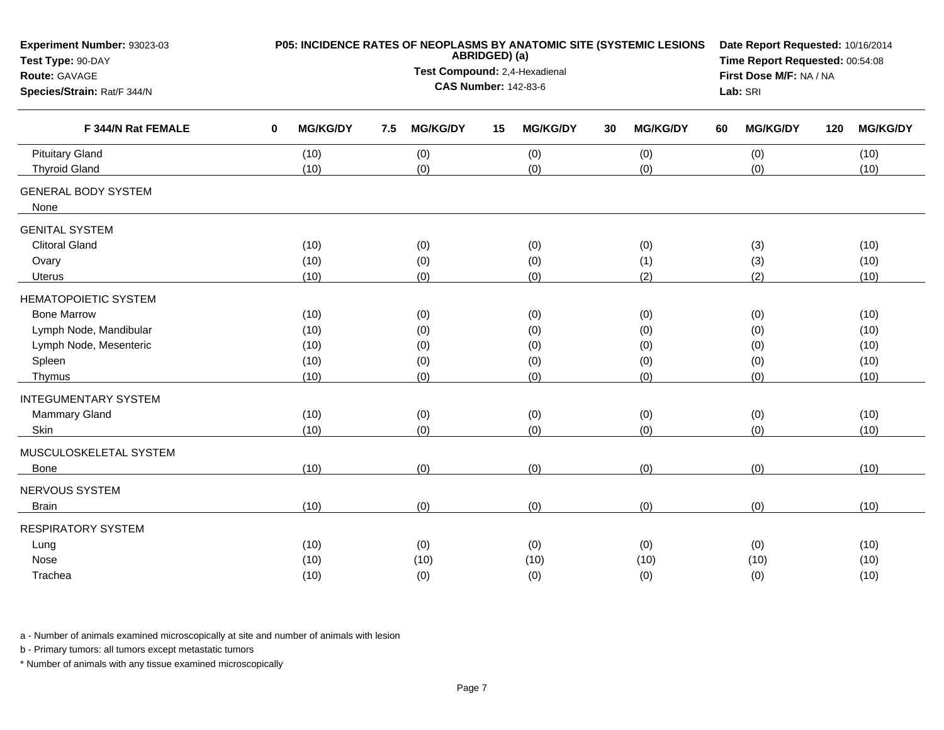| Experiment Number: 93023-03<br>Test Type: 90-DAY |             | P05: INCIDENCE RATES OF NEOPLASMS BY ANATOMIC SITE (SYSTEMIC LESIONS |     | Date Report Requested: 10/16/2014<br>Time Report Requested: 00:54:08 |    |                         |    |                 |    |                 |     |                 |
|--------------------------------------------------|-------------|----------------------------------------------------------------------|-----|----------------------------------------------------------------------|----|-------------------------|----|-----------------|----|-----------------|-----|-----------------|
| Route: GAVAGE                                    |             |                                                                      |     | Test Compound: 2,4-Hexadienal                                        |    | First Dose M/F: NA / NA |    |                 |    |                 |     |                 |
| Species/Strain: Rat/F 344/N                      |             |                                                                      |     | Lab: SRI                                                             |    |                         |    |                 |    |                 |     |                 |
| F 344/N Rat FEMALE                               | $\mathbf 0$ | <b>MG/KG/DY</b>                                                      | 7.5 | <b>MG/KG/DY</b>                                                      | 15 | <b>MG/KG/DY</b>         | 30 | <b>MG/KG/DY</b> | 60 | <b>MG/KG/DY</b> | 120 | <b>MG/KG/DY</b> |
| <b>Pituitary Gland</b>                           |             | (10)                                                                 |     | (0)                                                                  |    | (0)                     |    | (0)             |    | (0)             |     | (10)            |
| <b>Thyroid Gland</b>                             |             | (10)                                                                 |     | (0)                                                                  |    | (0)                     |    | (0)             |    | (0)             |     | (10)            |
| <b>GENERAL BODY SYSTEM</b>                       |             |                                                                      |     |                                                                      |    |                         |    |                 |    |                 |     |                 |
| None                                             |             |                                                                      |     |                                                                      |    |                         |    |                 |    |                 |     |                 |
| <b>GENITAL SYSTEM</b>                            |             |                                                                      |     |                                                                      |    |                         |    |                 |    |                 |     |                 |
| <b>Clitoral Gland</b>                            |             | (10)                                                                 |     | (0)                                                                  |    | (0)                     |    | (0)             |    | (3)             |     | (10)            |
| Ovary                                            |             | (10)                                                                 |     | (0)                                                                  |    | (0)                     |    | (1)             |    | (3)             |     | (10)            |
| Uterus                                           |             | (10)                                                                 |     | (0)                                                                  |    | (0)                     |    | (2)             |    | (2)             |     | (10)            |
| <b>HEMATOPOIETIC SYSTEM</b>                      |             |                                                                      |     |                                                                      |    |                         |    |                 |    |                 |     |                 |
| <b>Bone Marrow</b>                               |             | (10)                                                                 |     | (0)                                                                  |    | (0)                     |    | (0)             |    | (0)             |     | (10)            |
| Lymph Node, Mandibular                           |             | (10)                                                                 |     | (0)                                                                  |    | (0)                     |    | (0)             |    | (0)             |     | (10)            |
| Lymph Node, Mesenteric                           |             | (10)                                                                 |     | (0)                                                                  |    | (0)                     |    | (0)             |    | (0)             |     | (10)            |
| Spleen                                           |             | (10)                                                                 |     | (0)                                                                  |    | (0)                     |    | (0)             |    | (0)             |     | (10)            |
| Thymus                                           |             | (10)                                                                 |     | (0)                                                                  |    | (0)                     |    | (0)             |    | (0)             |     | (10)            |
| <b>INTEGUMENTARY SYSTEM</b>                      |             |                                                                      |     |                                                                      |    |                         |    |                 |    |                 |     |                 |
| Mammary Gland                                    |             | (10)                                                                 |     | (0)                                                                  |    | (0)                     |    | (0)             |    | (0)             |     | (10)            |
| Skin                                             |             | (10)                                                                 |     | (0)                                                                  |    | (0)                     |    | (0)             |    | (0)             |     | (10)            |
| MUSCULOSKELETAL SYSTEM                           |             |                                                                      |     |                                                                      |    |                         |    |                 |    |                 |     |                 |
| <b>Bone</b>                                      |             | (10)                                                                 |     | (0)                                                                  |    | (0)                     |    | (0)             |    | (0)             |     | (10)            |
| NERVOUS SYSTEM                                   |             |                                                                      |     |                                                                      |    |                         |    |                 |    |                 |     |                 |
| <b>Brain</b>                                     |             | (10)                                                                 |     | (0)                                                                  |    | (0)                     |    | (0)             |    | (0)             |     | (10)            |
| <b>RESPIRATORY SYSTEM</b>                        |             |                                                                      |     |                                                                      |    |                         |    |                 |    |                 |     |                 |
| Lung                                             |             | (10)                                                                 |     | (0)                                                                  |    | (0)                     |    | (0)             |    | (0)             |     | (10)            |
| Nose                                             |             | (10)                                                                 |     | (10)                                                                 |    | (10)                    |    | (10)            |    | (10)            |     | (10)            |
| Trachea                                          |             | (10)                                                                 |     | (0)                                                                  |    | (0)                     |    | (0)             |    | (0)             |     | (10)            |

b - Primary tumors: all tumors except metastatic tumors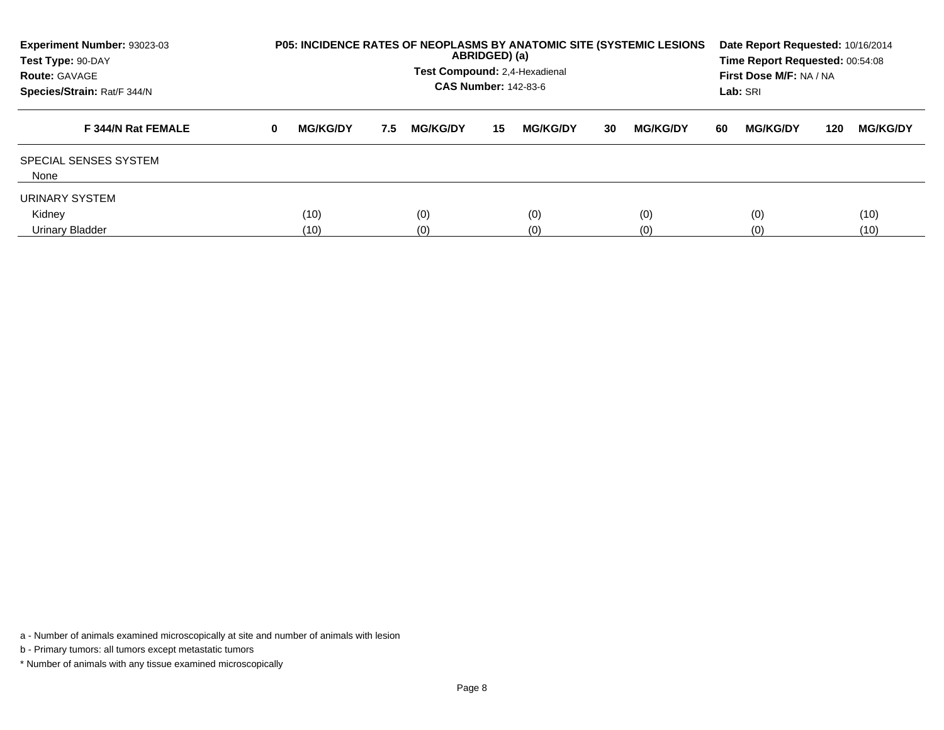| <b>Experiment Number: 93023-03</b><br>Test Type: 90-DAY<br><b>Route: GAVAGE</b><br>Species/Strain: Rat/F 344/N |          | <b>P05: INCIDENCE RATES OF NEOPLASMS BY ANATOMIC SITE (SYSTEMIC LESIONS)</b><br>ABRIDGED) (a)<br>Test Compound: 2,4-Hexadienal<br><b>CAS Number: 142-83-6</b> |     |                 |     |                 |      |                 |    |                 | Date Report Requested: 10/16/2014<br>Time Report Requested: 00:54:08<br>First Dose M/F: NA / NA<br>Lab: SRI |                 |  |  |
|----------------------------------------------------------------------------------------------------------------|----------|---------------------------------------------------------------------------------------------------------------------------------------------------------------|-----|-----------------|-----|-----------------|------|-----------------|----|-----------------|-------------------------------------------------------------------------------------------------------------|-----------------|--|--|
| F 344/N Rat FEMALE                                                                                             | $\bf{0}$ | <b>MG/KG/DY</b>                                                                                                                                               | 7.5 | <b>MG/KG/DY</b> | 15  | <b>MG/KG/DY</b> | 30   | <b>MG/KG/DY</b> | 60 | <b>MG/KG/DY</b> | 120                                                                                                         | <b>MG/KG/DY</b> |  |  |
| SPECIAL SENSES SYSTEM<br>None                                                                                  |          |                                                                                                                                                               |     |                 |     |                 |      |                 |    |                 |                                                                                                             |                 |  |  |
| URINARY SYSTEM                                                                                                 |          |                                                                                                                                                               |     |                 |     |                 |      |                 |    |                 |                                                                                                             |                 |  |  |
| Kidney                                                                                                         |          | (10)                                                                                                                                                          |     | (0)             |     | (0)             |      | (0)             |    | (0)             |                                                                                                             | (10)            |  |  |
| Urinary Bladder                                                                                                |          | (10)                                                                                                                                                          |     |                 | (0) |                 | (10) |                 |    |                 |                                                                                                             |                 |  |  |

b - Primary tumors: all tumors except metastatic tumors